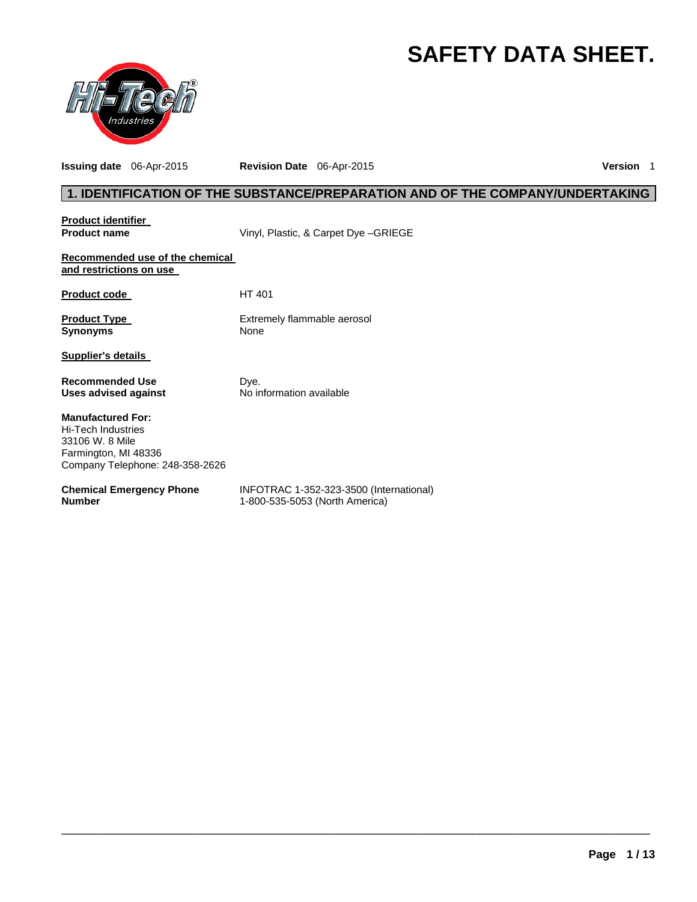# **SAFETY DATA SHEET.**



**Issuing date** 06-Apr-2015 **Revision Date** 06-Apr-2015 **Version** 1

# **1. IDENTIFICATION OF THE SUBSTANCE/PREPARATION AND OF THE COMPANY/UNDERTAKING**

| <b>Product identifier</b>                                                                                                           |                                                                           |
|-------------------------------------------------------------------------------------------------------------------------------------|---------------------------------------------------------------------------|
| <b>Product name</b>                                                                                                                 | Vinyl, Plastic, & Carpet Dye - GRIEGE                                     |
| Recommended use of the chemical<br>and restrictions on use                                                                          |                                                                           |
| <b>Product code</b>                                                                                                                 | HT 401                                                                    |
| <b>Product Type</b><br><b>Synonyms</b>                                                                                              | Extremely flammable aerosol<br>None                                       |
| <b>Supplier's details</b>                                                                                                           |                                                                           |
| <b>Recommended Use</b><br>Uses advised against                                                                                      | Dye.<br>No information available                                          |
| <b>Manufactured For:</b><br><b>Hi-Tech Industries</b><br>33106 W. 8 Mile<br>Farmington, MI 48336<br>Company Telephone: 248-358-2626 |                                                                           |
| <b>Chemical Emergency Phone</b><br><b>Number</b>                                                                                    | INFOTRAC 1-352-323-3500 (International)<br>1-800-535-5053 (North America) |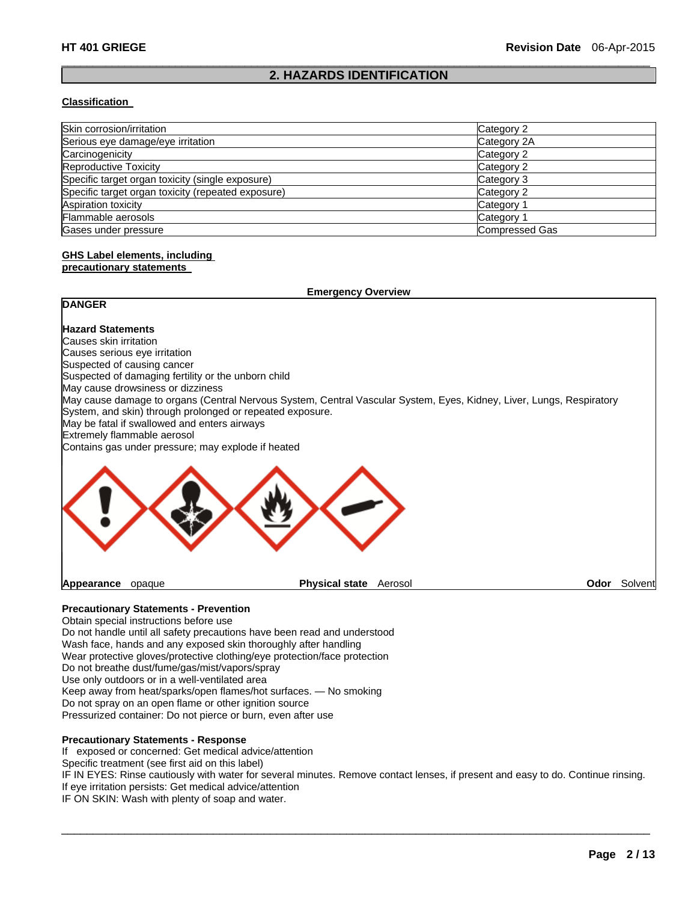#### $\Box$ **2. HAZARDS IDENTIFICATION**

#### **Classification**

| Skin corrosion/irritation                          | Category 2            |
|----------------------------------------------------|-----------------------|
| Serious eye damage/eye irritation                  | Category 2A           |
| Carcinogenicity                                    | Category 2            |
| <b>Reproductive Toxicity</b>                       | Category 2            |
| Specific target organ toxicity (single exposure)   | Category 3            |
| Specific target organ toxicity (repeated exposure) | Category 2            |
| Aspiration toxicity                                | Category 1            |
| Flammable aerosols                                 | Category 1            |
| Gases under pressure                               | <b>Compressed Gas</b> |

# **GHS Label elements, including**

#### **precautionary statements**

|                                                                                                                      | <b>Emergency Overview</b> |         |                     |
|----------------------------------------------------------------------------------------------------------------------|---------------------------|---------|---------------------|
| <b>DANGER</b>                                                                                                        |                           |         |                     |
| <b>Hazard Statements</b>                                                                                             |                           |         |                     |
| Causes skin irritation                                                                                               |                           |         |                     |
| Causes serious eye irritation                                                                                        |                           |         |                     |
| Suspected of causing cancer                                                                                          |                           |         |                     |
| Suspected of damaging fertility or the unborn child                                                                  |                           |         |                     |
| May cause drowsiness or dizziness                                                                                    |                           |         |                     |
| May cause damage to organs (Central Nervous System, Central Vascular System, Eyes, Kidney, Liver, Lungs, Respiratory |                           |         |                     |
| System, and skin) through prolonged or repeated exposure.                                                            |                           |         |                     |
| May be fatal if swallowed and enters airways                                                                         |                           |         |                     |
| Extremely flammable aerosol                                                                                          |                           |         |                     |
| Contains gas under pressure; may explode if heated                                                                   |                           |         |                     |
|                                                                                                                      |                           |         |                     |
| Appearance<br>opaque                                                                                                 | <b>Physical state</b>     | Aerosol | <b>Odor</b> Solvent |

# **Precautionary Statements - Prevention**

Obtain special instructions before use Do not handle until all safety precautions have been read and understood Wash face, hands and any exposed skin thoroughly after handling Wear protective gloves/protective clothing/eye protection/face protection Do not breathe dust/fume/gas/mist/vapors/spray Use only outdoors or in a well-ventilated area Keep away from heat/sparks/open flames/hot surfaces. — No smoking Do not spray on an open flame or other ignition source Pressurized container: Do not pierce or burn, even after use

#### **Precautionary Statements - Response**

If exposed or concerned: Get medical advice/attention

Specific treatment (see first aid on this label)

IF IN EYES: Rinse cautiously with water for several minutes. Remove contact lenses, if present and easy to do. Continue rinsing. If eye irritation persists: Get medical advice/attention

 $\Box$ 

IF ON SKIN: Wash with plenty of soap and water.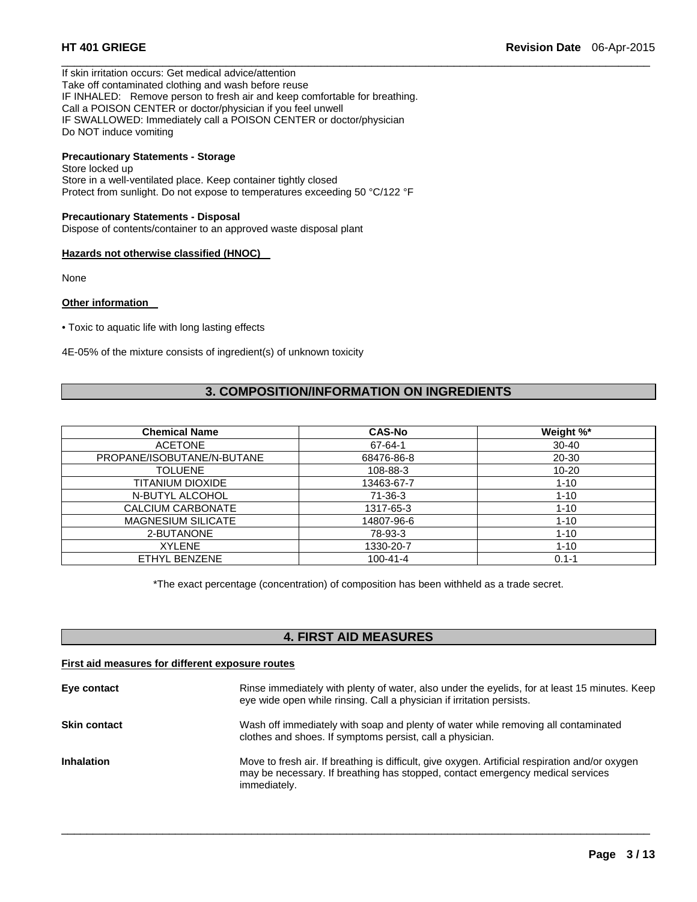If skin irritation occurs: Get medical advice/attention Take off contaminated clothing and wash before reuse IF INHALED: Remove person to fresh air and keep comfortable for breathing. Call a POISON CENTER or doctor/physician if you feel unwell IF SWALLOWED: Immediately call a POISON CENTER or doctor/physician Do NOT induce vomiting

# **Precautionary Statements - Storage**

Store locked up Store in a well-ventilated place. Keep container tightly closed Protect from sunlight. Do not expose to temperatures exceeding 50 °C/122 °F

#### **Precautionary Statements - Disposal**

Dispose of contents/container to an approved waste disposal plant

#### **Hazards not otherwise classified (HNOC)**

None

#### **Other information**

• Toxic to aquatic life with long lasting effects

4E-05% of the mixture consists of ingredient(s) of unknown toxicity

# **3. COMPOSITION/INFORMATION ON INGREDIENTS**

 $\Box$ 

| <b>Chemical Name</b>       | <b>CAS-No</b>  | Weight %* |
|----------------------------|----------------|-----------|
| <b>ACETONE</b>             | 67-64-1        | $30 - 40$ |
| PROPANE/ISOBUTANE/N-BUTANE | 68476-86-8     | 20-30     |
| <b>TOLUENE</b>             | 108-88-3       | $10 - 20$ |
| TITANIUM DIOXIDE           | 13463-67-7     | $1 - 10$  |
| N-BUTYL ALCOHOL            | $71-36-3$      | $1 - 10$  |
| CALCIUM CARBONATE          | 1317-65-3      | $1 - 10$  |
| <b>MAGNESIUM SILICATE</b>  | 14807-96-6     | $1 - 10$  |
| 2-BUTANONE                 | 78-93-3        | $1 - 10$  |
| <b>XYLENE</b>              | 1330-20-7      | $1 - 10$  |
| ETHYL BENZENE              | $100 - 41 - 4$ | $0.1 - 1$ |

\*The exact percentage (concentration) of composition has been withheld as a trade secret.

# **4. FIRST AID MEASURES**

### **First aid measures for different exposure routes**

| Eye contact         | Rinse immediately with plenty of water, also under the eyelids, for at least 15 minutes. Keep<br>eye wide open while rinsing. Call a physician if irritation persists.                            |
|---------------------|---------------------------------------------------------------------------------------------------------------------------------------------------------------------------------------------------|
| <b>Skin contact</b> | Wash off immediately with soap and plenty of water while removing all contaminated<br>clothes and shoes. If symptoms persist, call a physician.                                                   |
| <b>Inhalation</b>   | Move to fresh air. If breathing is difficult, give oxygen. Artificial respiration and/or oxygen<br>may be necessary. If breathing has stopped, contact emergency medical services<br>immediately. |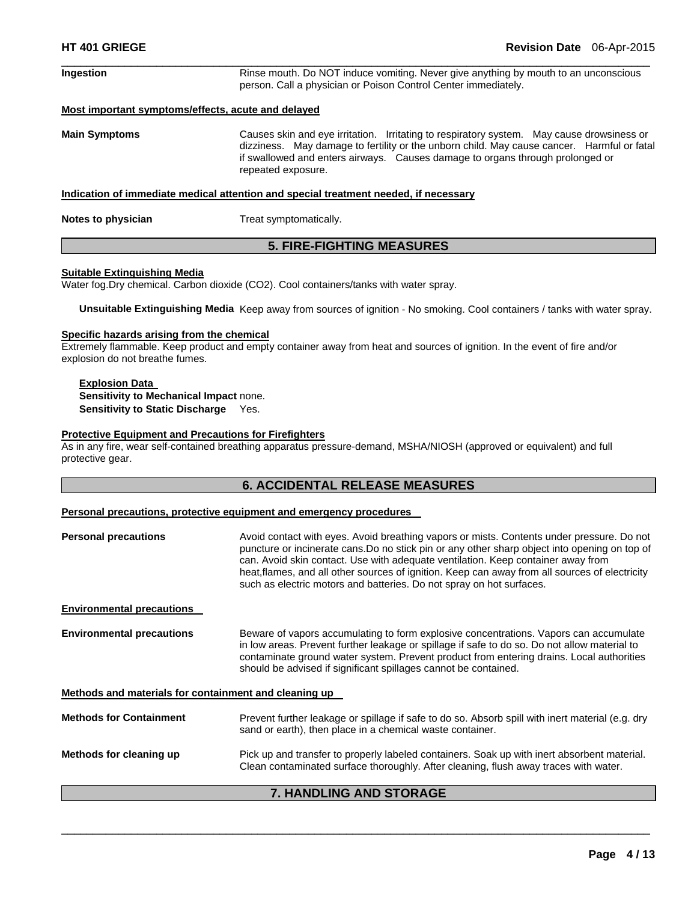| <b>Ingestion</b>     | Rinse mouth. Do NOT induce vomiting. Never give anything by mouth to an unconscious<br>person. Call a physician or Poison Control Center immediately.                                                                                                                                          |
|----------------------|------------------------------------------------------------------------------------------------------------------------------------------------------------------------------------------------------------------------------------------------------------------------------------------------|
|                      | Most important symptoms/effects, acute and delayed                                                                                                                                                                                                                                             |
| <b>Main Symptoms</b> | Causes skin and eye irritation. Irritating to respiratory system. May cause drowsiness or<br>dizziness. May damage to fertility or the unborn child. May cause cancer. Harmful or fatal<br>if swallowed and enters airways. Causes damage to organs through prolonged or<br>repeated exposure. |
|                      | Indication of immediate medical attention and special treatment needed, if necessary                                                                                                                                                                                                           |

**Notes to physician Treat symptomatically.** 

### **5. FIRE-FIGHTING MEASURES**

#### **Suitable Extinguishing Media**

Water fog.Dry chemical. Carbon dioxide (CO2). Cool containers/tanks with water spray.

**Unsuitable Extinguishing Media** Keep away from sources of ignition - No smoking. Cool containers / tanks with water spray.

#### **Specific hazards arising from the chemical**

Extremely flammable. Keep product and empty container away from heat and sources of ignition. In the event of fire and/or explosion do not breathe fumes.

#### **Explosion Data Sensitivity to Mechanical Impact** none. **Sensitivity to Static Discharge** Yes.

#### **Protective Equipment and Precautions for Firefighters**

As in any fire, wear self-contained breathing apparatus pressure-demand, MSHA/NIOSH (approved or equivalent) and full protective gear.

### **6. ACCIDENTAL RELEASE MEASURES**

#### **Personal precautions, protective equipment and emergency procedures**

| <b>Personal precautions</b>                           | Avoid contact with eyes. Avoid breathing vapors or mists. Contents under pressure. Do not<br>puncture or incinerate cans. Do no stick pin or any other sharp object into opening on top of<br>can. Avoid skin contact. Use with adequate ventilation. Keep container away from<br>heat, flames, and all other sources of ignition. Keep can away from all sources of electricity<br>such as electric motors and batteries. Do not spray on hot surfaces. |
|-------------------------------------------------------|----------------------------------------------------------------------------------------------------------------------------------------------------------------------------------------------------------------------------------------------------------------------------------------------------------------------------------------------------------------------------------------------------------------------------------------------------------|
| <b>Environmental precautions</b>                      |                                                                                                                                                                                                                                                                                                                                                                                                                                                          |
| <b>Environmental precautions</b>                      | Beware of vapors accumulating to form explosive concentrations. Vapors can accumulate<br>in low areas. Prevent further leakage or spillage if safe to do so. Do not allow material to<br>contaminate ground water system. Prevent product from entering drains. Local authorities<br>should be advised if significant spillages cannot be contained.                                                                                                     |
| Methods and materials for containment and cleaning up |                                                                                                                                                                                                                                                                                                                                                                                                                                                          |
| <b>Methods for Containment</b>                        | Prevent further leakage or spillage if safe to do so. Absorb spill with inert material (e.g. dry<br>sand or earth), then place in a chemical waste container.                                                                                                                                                                                                                                                                                            |
| Methods for cleaning up                               | Pick up and transfer to properly labeled containers. Soak up with inert absorbent material.<br>Clean contaminated surface thoroughly. After cleaning, flush away traces with water.                                                                                                                                                                                                                                                                      |
|                                                       | - !!!!!!!!!! !!!! ^T^^ !!!                                                                                                                                                                                                                                                                                                                                                                                                                               |

### **7. HANDLING AND STORAGE**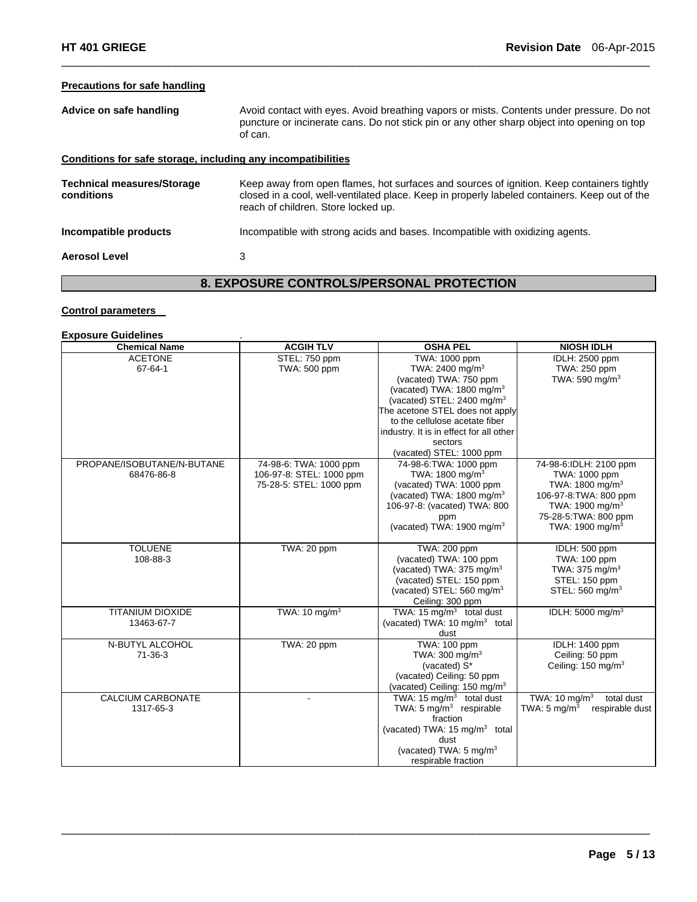# **Precautions for safe handling**

| Advice on safe handling                                      | Avoid contact with eyes. Avoid breathing vapors or mists. Contents under pressure. Do not<br>puncture or incinerate cans. Do not stick pin or any other sharp object into opening on top<br>of can.                               |
|--------------------------------------------------------------|-----------------------------------------------------------------------------------------------------------------------------------------------------------------------------------------------------------------------------------|
| Conditions for safe storage, including any incompatibilities |                                                                                                                                                                                                                                   |
| <b>Technical measures/Storage</b><br>conditions              | Keep away from open flames, hot surfaces and sources of ignition. Keep containers tightly<br>closed in a cool, well-ventilated place. Keep in properly labeled containers. Keep out of the<br>reach of children. Store locked up. |
| Incompatible products                                        | Incompatible with strong acids and bases. Incompatible with oxidizing agents.                                                                                                                                                     |
| <b>Aerosol Level</b>                                         | 3                                                                                                                                                                                                                                 |

 $\Box$ 

# **8. EXPOSURE CONTROLS/PERSONAL PROTECTION**

#### **Control parameters**

# **Exposure Guidelines** .

| <b>Chemical Name</b>       | <b>ACGIH TLV</b>         | <b>OSHA PEL</b>                           | <b>NIOSH IDLH</b>                          |
|----------------------------|--------------------------|-------------------------------------------|--------------------------------------------|
| <b>ACETONE</b>             | STEL: 750 ppm            | TWA: 1000 ppm                             | <b>IDLH: 2500 ppm</b>                      |
| 67-64-1                    | TWA: 500 ppm             | TWA: 2400 mg/m <sup>3</sup>               | TWA: 250 ppm                               |
|                            |                          | (vacated) TWA: 750 ppm                    | TWA: 590 mg/m $3$                          |
|                            |                          | (vacated) TWA: 1800 mg/m <sup>3</sup>     |                                            |
|                            |                          | (vacated) STEL: 2400 mg/m <sup>3</sup>    |                                            |
|                            |                          | The acetone STEL does not apply           |                                            |
|                            |                          | to the cellulose acetate fiber            |                                            |
|                            |                          | industry. It is in effect for all other   |                                            |
|                            |                          | sectors                                   |                                            |
|                            |                          | (vacated) STEL: 1000 ppm                  |                                            |
| PROPANE/ISOBUTANE/N-BUTANE | 74-98-6: TWA: 1000 ppm   | 74-98-6: TWA: 1000 ppm                    | 74-98-6:IDLH: 2100 ppm                     |
| 68476-86-8                 | 106-97-8: STEL: 1000 ppm | TWA: $1800 \text{ ma/m}^3$                | TWA: 1000 ppm                              |
|                            | 75-28-5: STEL: 1000 ppm  | (vacated) TWA: 1000 ppm                   | TWA: 1800 mg/m <sup>3</sup>                |
|                            |                          | (vacated) TWA: 1800 mg/m <sup>3</sup>     | 106-97-8: TWA: 800 ppm                     |
|                            |                          | 106-97-8: (vacated) TWA: 800              | TWA: 1900 mg/m <sup>3</sup>                |
|                            |                          | ppm                                       | 75-28-5: TWA: 800 ppm                      |
|                            |                          | (vacated) TWA: 1900 mg/m <sup>3</sup>     | TWA: 1900 mg/m <sup>3</sup>                |
|                            |                          |                                           |                                            |
| <b>TOLUENE</b>             | TWA: 20 ppm              | TWA: 200 ppm                              | IDLH: 500 ppm                              |
| 108-88-3                   |                          | (vacated) TWA: 100 ppm                    | TWA: 100 ppm                               |
|                            |                          | (vacated) TWA: 375 mg/m <sup>3</sup>      | TWA: $375 \text{ mg/m}^3$                  |
|                            |                          | (vacated) STEL: 150 ppm                   | STEL: 150 ppm                              |
|                            |                          | (vacated) STEL: 560 mg/m <sup>3</sup>     | STEL: 560 mg/m <sup>3</sup>                |
|                            |                          | Ceiling: 300 ppm                          |                                            |
| <b>TITANIUM DIOXIDE</b>    | TWA: $10 \text{ mg/m}^3$ | TWA: 15 $mg/m3$ total dust                | IDLH: 5000 mg/m <sup>3</sup>               |
| 13463-67-7                 |                          | (vacated) TWA: 10 mg/m <sup>3</sup> total |                                            |
|                            |                          | dust                                      |                                            |
| N-BUTYL ALCOHOL            | TWA: 20 ppm              | TWA: 100 ppm                              | IDLH: 1400 ppm                             |
| $71 - 36 - 3$              |                          | TWA: 300 mg/ $m3$                         | Ceiling: 50 ppm                            |
|                            |                          | (vacated) S*                              | Ceiling: 150 mg/m <sup>3</sup>             |
|                            |                          | (vacated) Ceiling: 50 ppm                 |                                            |
|                            |                          | (vacated) Ceiling: 150 mg/m <sup>3</sup>  |                                            |
| <b>CALCIUM CARBONATE</b>   |                          | TWA: 15 $mq/m3$ total dust                | TWA: $10 \text{ mg/m}^3$<br>total dust     |
| 1317-65-3                  |                          | TWA: $5 \text{ mg/m}^3$ respirable        | TWA: $5 \text{ mg/m}^3$<br>respirable dust |
|                            |                          | fraction                                  |                                            |
|                            |                          | (vacated) TWA: $15 \text{ mg/m}^3$ total  |                                            |
|                            |                          | dust                                      |                                            |
|                            |                          | (vacated) TWA: 5 mg/m <sup>3</sup>        |                                            |
|                            |                          | respirable fraction                       |                                            |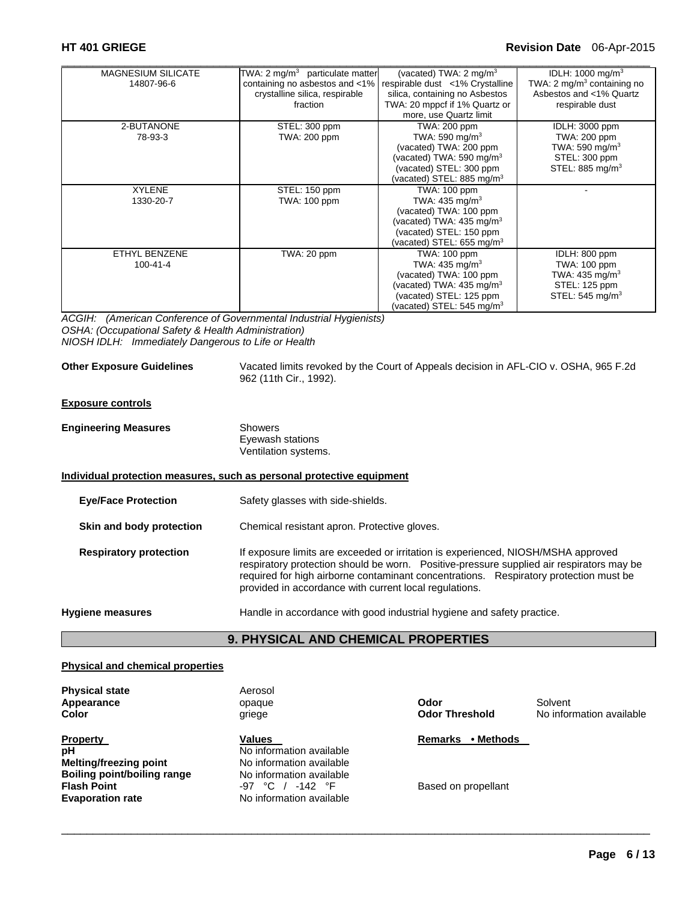## **HT 401 GRIEGE Revision Date** 06-Apr-2015

| <b>MAGNESIUM SILICATE</b> | TWA: 2 mg/m $3$ particulate matter | (vacated) TWA: $2 \text{ mg/m}^3$    | IDLH: $1000 \text{ mg/m}^3$  |
|---------------------------|------------------------------------|--------------------------------------|------------------------------|
| 14807-96-6                | containing no asbestos and <1%     | respirable dust <1% Crystalline      | TWA: 2 $mq/m3$ containing no |
|                           | crystalline silica, respirable     | silica, containing no Asbestos       | Asbestos and <1% Quartz      |
|                           | fraction                           | TWA: 20 mppcf if 1% Quartz or        | respirable dust              |
|                           |                                    | more, use Quartz limit               |                              |
| 2-BUTANONE                | STEL: 300 ppm                      | TWA: 200 ppm                         | <b>IDLH: 3000 ppm</b>        |
| 78-93-3                   | TWA: 200 ppm                       | TWA: 590 mg/m $3$                    | TWA: 200 ppm                 |
|                           |                                    | (vacated) TWA: 200 ppm               | TWA: 590 mg/m <sup>3</sup>   |
|                           |                                    | (vacated) TWA: 590 mg/m <sup>3</sup> | STEL: 300 ppm                |
|                           |                                    | (vacated) STEL: 300 ppm              | STEL: 885 mg/m <sup>3</sup>  |
|                           |                                    | (vacated) STEL: 885 mg/m $3$         |                              |
| <b>XYLENE</b>             | STEL: 150 ppm                      | <b>TWA: 100 ppm</b>                  |                              |
| 1330-20-7                 | TWA: 100 ppm                       | TWA: $435 \text{ mg/m}^3$            |                              |
|                           |                                    | (vacated) TWA: 100 ppm               |                              |
|                           |                                    | (vacated) TWA: $435 \text{ mg/m}^3$  |                              |
|                           |                                    | (vacated) STEL: 150 ppm              |                              |
|                           |                                    | (vacated) STEL: 655 mg/m $3$         |                              |
| ETHYL BENZENE             | TWA: 20 ppm                        | TWA: 100 ppm                         | IDLH: 800 ppm                |
| $100 - 41 - 4$            |                                    | TWA: $435 \text{ mg/m}^3$            | TWA: 100 ppm                 |
|                           |                                    | (vacated) TWA: 100 ppm               | TWA: 435 mg/m <sup>3</sup>   |
|                           |                                    | (vacated) TWA: $435 \text{ mg/m}^3$  | STEL: 125 ppm                |
|                           |                                    | (vacated) STEL: 125 ppm              | STEL: $545 \text{ mg/m}^3$   |
|                           |                                    | (vacated) STEL: 545 mg/m $3$         |                              |

*ACGIH: (American Conference of Governmental Industrial Hygienists) OSHA: (Occupational Safety & Health Administration) NIOSH IDLH: Immediately Dangerous to Life or Health* 

**Other Exposure Guidelines** Vacated limits revoked by the Court of Appeals decision in AFL-CIO v. OSHA, 965 F.2d 962 (11th Cir., 1992).

#### **Exposure controls**

| <b>Engineering Measures</b> | Showers              |  |
|-----------------------------|----------------------|--|
|                             | Eyewash stations     |  |
|                             | Ventilation systems. |  |

#### **Individual protection measures, such as personal protective equipment**

**Eye/Face Protection** Safety glasses with side-shields. **Skin and body protection Chemical resistant apron. Protective gloves. Respiratory protection** If exposure limits are exceeded or irritation is experienced, NIOSH/MSHA approved respiratory protection should be worn. Positive-pressure supplied air respirators may be required for high airborne contaminant concentrations. Respiratory protection must be provided in accordance with current local regulations.

#### **Hygiene measures** Handle in accordance with good industrial hygiene and safety practice.

# **9. PHYSICAL AND CHEMICAL PROPERTIES**

 $\Box$ 

#### **Physical and chemical properties**

**Physical state Aerosol Appearance** opaque **Odor** Solvent

**Property Values Property Property Remarks** • Methods **pH** No information available **Melting/freezing point No information available**<br> **Boiling point/boiling range No information available Boiling point/boiling range<br>Flash Point Flash Point Figure 1.142 °F** Based on propellant **Evaporation rate C** / -142 °F **Based on propellant** 

**No information available** 

**Color** griege **Odor Threshold** No information available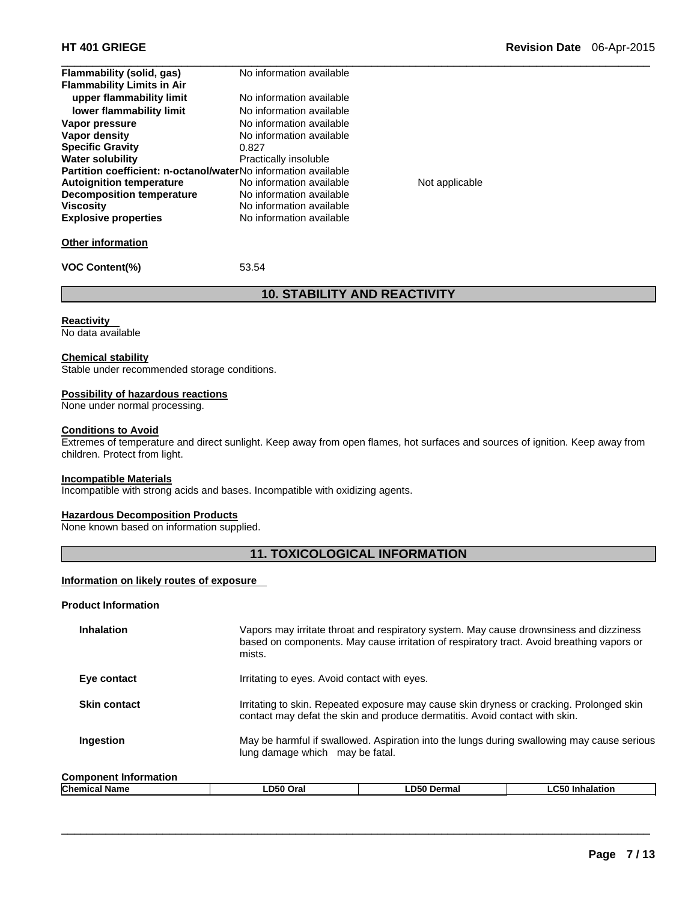| Flammability (solid, gas)                                             | No information available |                |  |
|-----------------------------------------------------------------------|--------------------------|----------------|--|
| <b>Flammability Limits in Air</b>                                     |                          |                |  |
| upper flammability limit                                              | No information available |                |  |
| lower flammability limit                                              | No information available |                |  |
| Vapor pressure                                                        | No information available |                |  |
| Vapor density                                                         | No information available |                |  |
| <b>Specific Gravity</b>                                               | 0.827                    |                |  |
| <b>Water solubility</b>                                               | Practically insoluble    |                |  |
| <b>Partition coefficient: n-octanol/waterNo information available</b> |                          |                |  |
| <b>Autoignition temperature</b>                                       | No information available | Not applicable |  |
| <b>Decomposition temperature</b>                                      | No information available |                |  |
| <b>Viscosity</b>                                                      | No information available |                |  |
| <b>Explosive properties</b>                                           | No information available |                |  |
| <b>Other information</b>                                              |                          |                |  |

**VOC Content(%)** 53.54

# **10. STABILITY AND REACTIVITY**

#### **Reactivity**

No data available

#### **Chemical stability**

Stable under recommended storage conditions.

#### **Possibility of hazardous reactions**

None under normal processing.

#### **Conditions to Avoid**

Extremes of temperature and direct sunlight. Keep away from open flames, hot surfaces and sources of ignition. Keep away from children. Protect from light.

#### **Incompatible Materials**

Incompatible with strong acids and bases. Incompatible with oxidizing agents.

#### **Hazardous Decomposition Products**

None known based on information supplied.

# **11. TOXICOLOGICAL INFORMATION**

#### **Information on likely routes of exposure**

#### **Product Information**

| <b>Inhalation</b>            | Vapors may irritate throat and respiratory system. May cause drownsiness and dizziness<br>based on components. May cause irritation of respiratory tract. Avoid breathing vapors or<br>mists. |
|------------------------------|-----------------------------------------------------------------------------------------------------------------------------------------------------------------------------------------------|
| Eye contact                  | Irritating to eyes. Avoid contact with eyes.                                                                                                                                                  |
| <b>Skin contact</b>          | Irritating to skin. Repeated exposure may cause skin dryness or cracking. Prolonged skin<br>contact may defat the skin and produce dermatitis. Avoid contact with skin.                       |
| Ingestion                    | May be harmful if swallowed. Aspiration into the lungs during swallowing may cause serious<br>lung damage which may be fatal.                                                                 |
| <b>Component Information</b> |                                                                                                                                                                                               |

| <b>Chemical</b><br>Name | LD50<br>Oral | <b>D50</b><br>Dermal | $\sim$ $\sim$<br>Inhalatior<br>ייכט⊥ |  |
|-------------------------|--------------|----------------------|--------------------------------------|--|
|                         |              |                      |                                      |  |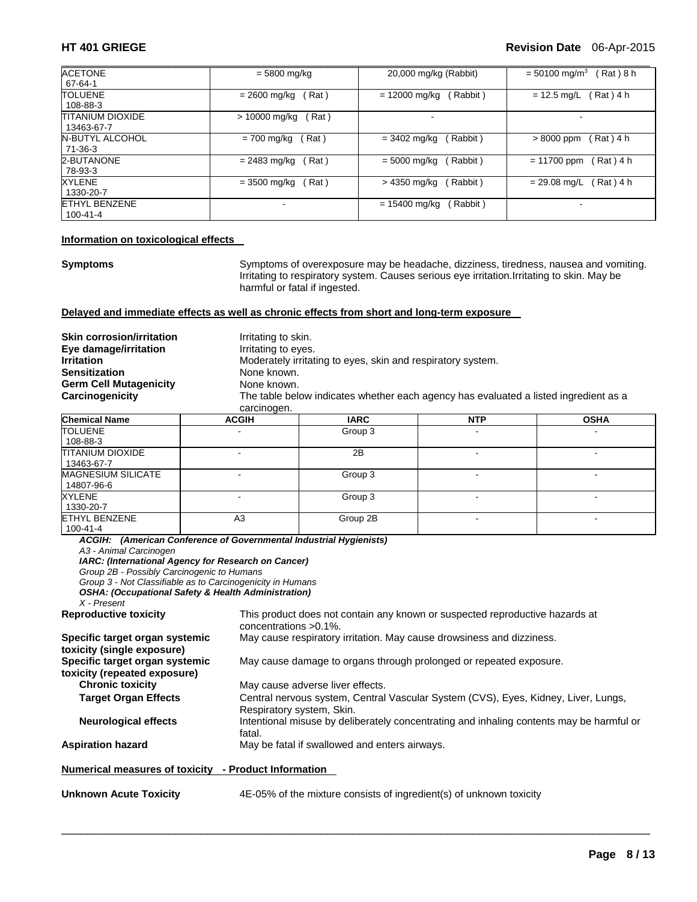| <b>ACETONE</b>          | $= 5800$ mg/kg         | 20,000 mg/kg (Rabbit)      | $= 50100$ mg/m <sup>3</sup><br>Rat ) 8 h |
|-------------------------|------------------------|----------------------------|------------------------------------------|
| 67-64-1                 |                        |                            |                                          |
| <b>TOLUENE</b>          | Rat)<br>$= 2600$ mg/kg | Rabbit)<br>$= 12000$ mg/kg | Rat) 4 h<br>$= 12.5$ mg/L                |
| 108-88-3                |                        |                            |                                          |
| <b>TITANIUM DIOXIDE</b> | (Rat)<br>> 10000 mg/kg |                            |                                          |
| 13463-67-7              |                        |                            |                                          |
| <b>N-BUTYL ALCOHOL</b>  | Rat)<br>$= 700$ mg/kg  | Rabbit)<br>$= 3402$ mg/kg  | Rat ) 4 h<br>$>8000$ ppm                 |
| 71-36-3                 |                        |                            |                                          |
| 2-BUTANONE              | $= 2483$ mg/kg<br>Rat) | $= 5000$ mg/kg<br>Rabbit)  | $= 11700$ ppm<br>Rat ) 4 h               |
| 78-93-3                 |                        |                            |                                          |
| XYLENE                  | $= 3500$ mg/kg<br>Rat) | > 4350 mg/kg<br>Rabbit)    | Rat ) 4 h<br>$= 29.08$ mg/L              |
| 1330-20-7               |                        |                            |                                          |
| <b>ETHYL BENZENE</b>    | -                      | $= 15400$ mg/kg<br>Rabbit) | $\overline{\phantom{a}}$                 |
| 100-41-4                |                        |                            |                                          |

#### **Information on toxicological effects**

**Symptoms** Symptoms of overexposure may be headache, dizziness, tiredness, nausea and vomiting. Irritating to respiratory system. Causes serious eye irritation.Irritating to skin. May be harmful or fatal if ingested.

#### **Delayed and immediate effects as well as chronic effects from short and long-term exposure**

| <b>Skin corrosion/irritation</b><br>Eye damage/irritation<br>Irritation<br>Sensitization<br><b>Germ Cell Mutagenicity</b><br>Carcinogenicity | Irritating to skin.<br>Irritating to eyes.<br>Moderately irritating to eyes, skin and respiratory system.<br>None known.<br>None known.<br>The table below indicates whether each agency has evaluated a listed ingredient as a<br>carcinogen. |             |                          |             |  |
|----------------------------------------------------------------------------------------------------------------------------------------------|------------------------------------------------------------------------------------------------------------------------------------------------------------------------------------------------------------------------------------------------|-------------|--------------------------|-------------|--|
| <b>Chemical Name</b>                                                                                                                         | <b>ACGIH</b>                                                                                                                                                                                                                                   | <b>IARC</b> | <b>NTP</b>               | <b>OSHA</b> |  |
| TOLUENE<br>108-88-3                                                                                                                          |                                                                                                                                                                                                                                                | Group 3     | $\overline{\phantom{a}}$ |             |  |
|                                                                                                                                              |                                                                                                                                                                                                                                                |             |                          |             |  |

| 108-88-3                  |    |          |      |  |
|---------------------------|----|----------|------|--|
| <b>TITANIUM DIOXIDE</b>   | ٠  | 2B       | $\,$ |  |
| 13463-67-7                |    |          |      |  |
| <b>MAGNESIUM SILICATE</b> |    | Group 3  |      |  |
| 14807-96-6                |    |          |      |  |
| <b>XYLENE</b>             |    | Group 3  |      |  |
| 1330-20-7                 |    |          |      |  |
| <b>IETHYL BENZENE</b>     | A3 | Group 2B |      |  |
| 100-41-4                  |    |          |      |  |

*ACGIH: (American Conference of Governmental Industrial Hygienists) A3 - Animal Carcinogen IARC: (International Agency for Research on Cancer) Group 2B - Possibly Carcinogenic to Humans Group 3 - Not Classifiable as to Carcinogenicity in Humans OSHA: (Occupational Safety & Health Administration) X - Present*  This product does not contain any known or suspected reproductive hazards at concentrations >0.1%. **Specific target organ systemic toxicity (single exposure)**  May cause respiratory irritation. May cause drowsiness and dizziness. **Specific target organ systemic toxicity (repeated exposure)**  May cause damage to organs through prolonged or repeated exposure. **Chronic toxicity May cause adverse liver effects. Target Organ Effects** Central nervous system, Central Vascular System (CVS), Eyes, Kidney, Liver, Lungs, Respiratory system, Skin. **Neurological effects** Intentional misuse by deliberately concentrating and inhaling contents may be harmful or fatal. **Aspiration hazard** May be fatal if swallowed and enters airways. **Numerical measures of toxicity - Product Information Unknown Acute Toxicity** 4E-05% of the mixture consists of ingredient(s) of unknown toxicity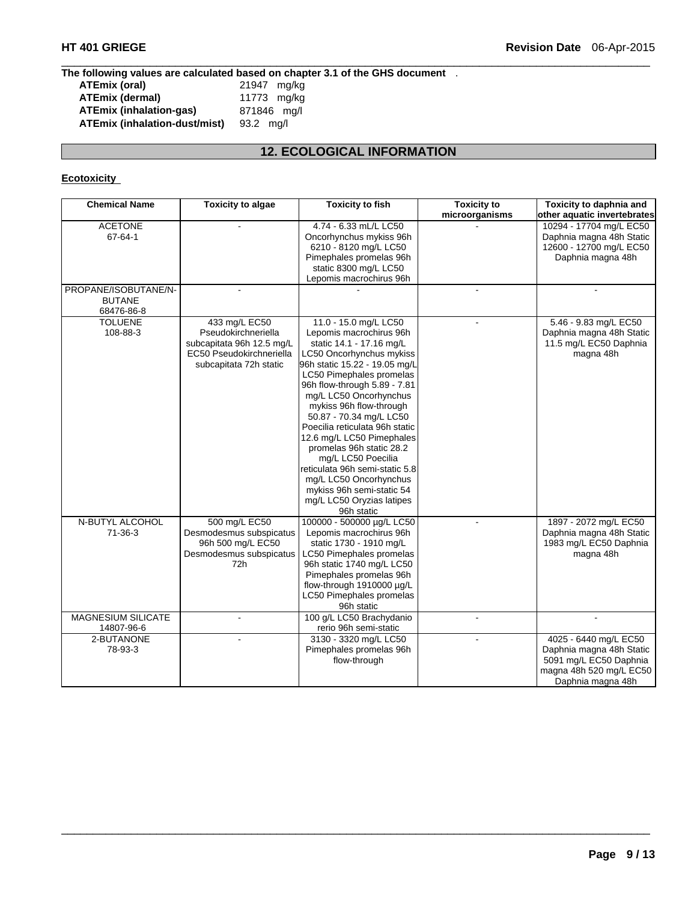#### **The following values are calculated based on chapter 3.1 of the GHS document** .

| ATEmix (oral)                        | 21947 mg/kg |
|--------------------------------------|-------------|
| <b>ATEmix (dermal)</b>               | 11773 mg/kg |
| <b>ATEmix (inhalation-gas)</b>       | 871846 mg/l |
| <b>ATEmix (inhalation-dust/mist)</b> | $93.2$ ma/l |

# **12. ECOLOGICAL INFORMATION**

 $\Box$ 

# **Ecotoxicity**

| <b>Chemical Name</b> | <b>Toxicity to algae</b>  | <b>Toxicity to</b><br><b>Toxicity to fish</b>          |                | Toxicity to daphnia and     |
|----------------------|---------------------------|--------------------------------------------------------|----------------|-----------------------------|
|                      |                           |                                                        | microorganisms | other aquatic invertebrates |
| <b>ACETONE</b>       |                           | 4.74 - 6.33 mL/L LC50                                  |                | 10294 - 17704 mg/L EC50     |
| 67-64-1              |                           | Oncorhynchus mykiss 96h                                |                | Daphnia magna 48h Static    |
|                      |                           | 6210 - 8120 mg/L LC50                                  |                | 12600 - 12700 mg/L EC50     |
|                      |                           | Pimephales promelas 96h                                |                | Daphnia magna 48h           |
|                      |                           | static 8300 mg/L LC50                                  |                |                             |
|                      |                           | Lepomis macrochirus 96h                                |                |                             |
| PROPANE/ISOBUTANE/N- | $\blacksquare$            |                                                        | $\overline{a}$ |                             |
| <b>BUTANE</b>        |                           |                                                        |                |                             |
| 68476-86-8           |                           |                                                        |                |                             |
| <b>TOLUENE</b>       | 433 mg/L EC50             | 11.0 - 15.0 mg/L LC50                                  |                | 5.46 - 9.83 mg/L EC50       |
| 108-88-3             | Pseudokirchneriella       | Lepomis macrochirus 96h                                |                | Daphnia magna 48h Static    |
|                      | subcapitata 96h 12.5 mg/L | static 14.1 - 17.16 mg/L                               |                | 11.5 mg/L EC50 Daphnia      |
|                      | EC50 Pseudokirchneriella  | LC50 Oncorhynchus mykiss                               |                | magna 48h                   |
|                      | subcapitata 72h static    | 96h static 15.22 - 19.05 mg/L                          |                |                             |
|                      |                           | LC50 Pimephales promelas                               |                |                             |
|                      |                           | 96h flow-through 5.89 - 7.81<br>mg/L LC50 Oncorhynchus |                |                             |
|                      |                           | mykiss 96h flow-through                                |                |                             |
|                      |                           | 50.87 - 70.34 mg/L LC50                                |                |                             |
|                      |                           | Poecilia reticulata 96h static                         |                |                             |
|                      |                           | 12.6 mg/L LC50 Pimephales                              |                |                             |
|                      |                           | promelas 96h static 28.2                               |                |                             |
|                      |                           | mg/L LC50 Poecilia                                     |                |                             |
|                      |                           | reticulata 96h semi-static 5.8                         |                |                             |
|                      |                           | mg/L LC50 Oncorhynchus                                 |                |                             |
|                      |                           | mykiss 96h semi-static 54                              |                |                             |
|                      |                           | mg/L LC50 Oryzias latipes                              |                |                             |
|                      |                           | 96h static                                             |                |                             |
| N-BUTYL ALCOHOL      | 500 mg/L EC50             | 100000 - 500000 µg/L LC50                              |                | 1897 - 2072 mg/L EC50       |
| 71-36-3              | Desmodesmus subspicatus   | Lepomis macrochirus 96h                                |                | Daphnia magna 48h Static    |
|                      | 96h 500 mg/L EC50         | static 1730 - 1910 mg/L                                |                | 1983 mg/L EC50 Daphnia      |
|                      | Desmodesmus subspicatus   | LC50 Pimephales promelas                               |                | magna 48h                   |
|                      | 72h                       | 96h static 1740 mg/L LC50                              |                |                             |
|                      |                           | Pimephales promelas 96h                                |                |                             |
|                      |                           | flow-through 1910000 µg/L                              |                |                             |
|                      |                           | LC50 Pimephales promelas                               |                |                             |
|                      |                           | 96h static                                             |                |                             |
| MAGNESIUM SILICATE   |                           | 100 g/L LC50 Brachydanio                               |                |                             |
| 14807-96-6           |                           | rerio 96h semi-static                                  |                |                             |
| 2-BUTANONE           | $\blacksquare$            | 3130 - 3320 mg/L LC50                                  |                | 4025 - 6440 mg/L EC50       |
| 78-93-3              |                           | Pimephales promelas 96h                                |                | Daphnia magna 48h Static    |
|                      |                           | flow-through                                           |                | 5091 mg/L EC50 Daphnia      |
|                      |                           |                                                        |                | magna 48h 520 mg/L EC50     |
|                      |                           |                                                        |                | Daphnia magna 48h           |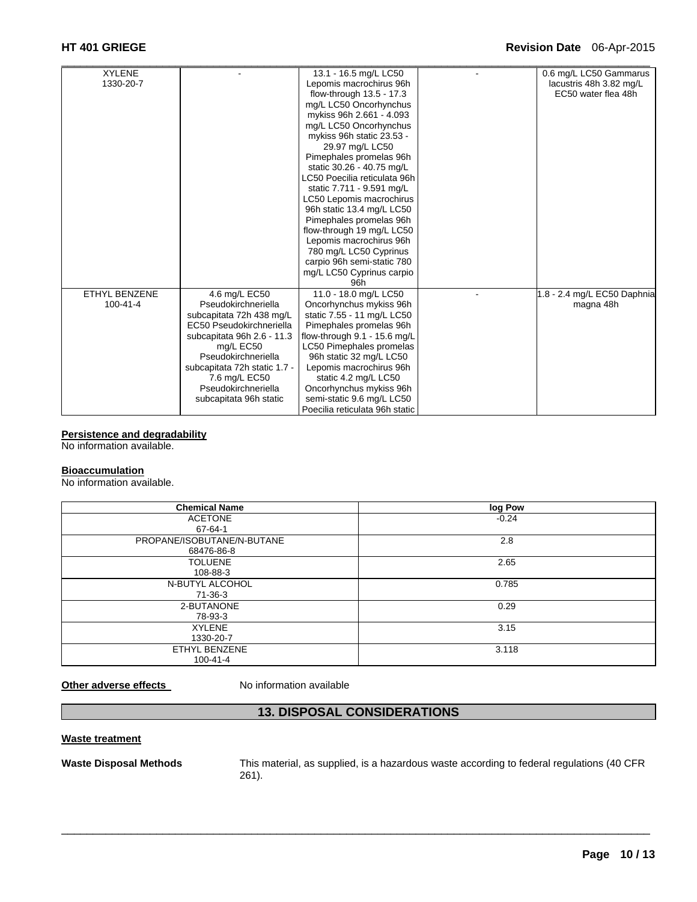| <b>XYLENE</b>        |                              | 13.1 - 16.5 mg/L LC50          | 0.6 mg/L LC50 Gammarus      |
|----------------------|------------------------------|--------------------------------|-----------------------------|
| 1330-20-7            |                              | Lepomis macrochirus 96h        | lacustris 48h 3.82 mg/L     |
|                      |                              | flow-through 13.5 - 17.3       | EC50 water flea 48h         |
|                      |                              | mg/L LC50 Oncorhynchus         |                             |
|                      |                              | mykiss 96h 2.661 - 4.093       |                             |
|                      |                              | mg/L LC50 Oncorhynchus         |                             |
|                      |                              | mykiss 96h static 23.53 -      |                             |
|                      |                              | 29.97 mg/L LC50                |                             |
|                      |                              | Pimephales promelas 96h        |                             |
|                      |                              | static 30.26 - 40.75 mg/L      |                             |
|                      |                              | LC50 Poecilia reticulata 96h   |                             |
|                      |                              | static 7.711 - 9.591 mg/L      |                             |
|                      |                              | LC50 Lepomis macrochirus       |                             |
|                      |                              | 96h static 13.4 mg/L LC50      |                             |
|                      |                              | Pimephales promelas 96h        |                             |
|                      |                              | flow-through 19 mg/L LC50      |                             |
|                      |                              | Lepomis macrochirus 96h        |                             |
|                      |                              | 780 mg/L LC50 Cyprinus         |                             |
|                      |                              | carpio 96h semi-static 780     |                             |
|                      |                              | mg/L LC50 Cyprinus carpio      |                             |
|                      |                              | 96h                            |                             |
| <b>ETHYL BENZENE</b> | 4.6 mg/L EC50                | 11.0 - 18.0 mg/L LC50          | 1.8 - 2.4 mg/L EC50 Daphnia |
| $100 - 41 - 4$       | Pseudokirchneriella          | Oncorhynchus mykiss 96h        | magna 48h                   |
|                      | subcapitata 72h 438 mg/L     | static 7.55 - 11 mg/L LC50     |                             |
|                      | EC50 Pseudokirchneriella     | Pimephales promelas 96h        |                             |
|                      | subcapitata 96h 2.6 - 11.3   | flow-through 9.1 - 15.6 mg/L   |                             |
|                      | mg/L EC50                    | LC50 Pimephales promelas       |                             |
|                      | Pseudokirchneriella          | 96h static 32 mg/L LC50        |                             |
|                      | subcapitata 72h static 1.7 - | Lepomis macrochirus 96h        |                             |
|                      | 7.6 mg/L EC50                | static 4.2 mg/L LC50           |                             |
|                      | Pseudokirchneriella          | Oncorhynchus mykiss 96h        |                             |
|                      | subcapitata 96h static       | semi-static 9.6 mg/L LC50      |                             |
|                      |                              | Poecilia reticulata 96h static |                             |

**Persistence and degradability** 

No information available.

#### **Bioaccumulation**

No information available.

| <b>Chemical Name</b>       | log Pow |
|----------------------------|---------|
| <b>ACETONE</b>             | $-0.24$ |
| 67-64-1                    |         |
| PROPANE/ISOBUTANE/N-BUTANE | 2.8     |
| 68476-86-8                 |         |
| <b>TOLUENE</b>             | 2.65    |
| 108-88-3                   |         |
| N-BUTYL ALCOHOL            | 0.785   |
| 71-36-3                    |         |
| 2-BUTANONE                 | 0.29    |
| 78-93-3                    |         |
| <b>XYLENE</b>              | 3.15    |
| 1330-20-7                  |         |
| ETHYL BENZENE              | 3.118   |
| $100 - 41 - 4$             |         |

**Other adverse effects** No information available

# **13. DISPOSAL CONSIDERATIONS**

 $\Box$ 

#### **Waste treatment**

**Waste Disposal Methods** This material, as supplied, is a hazardous waste according to federal regulations (40 CFR 261).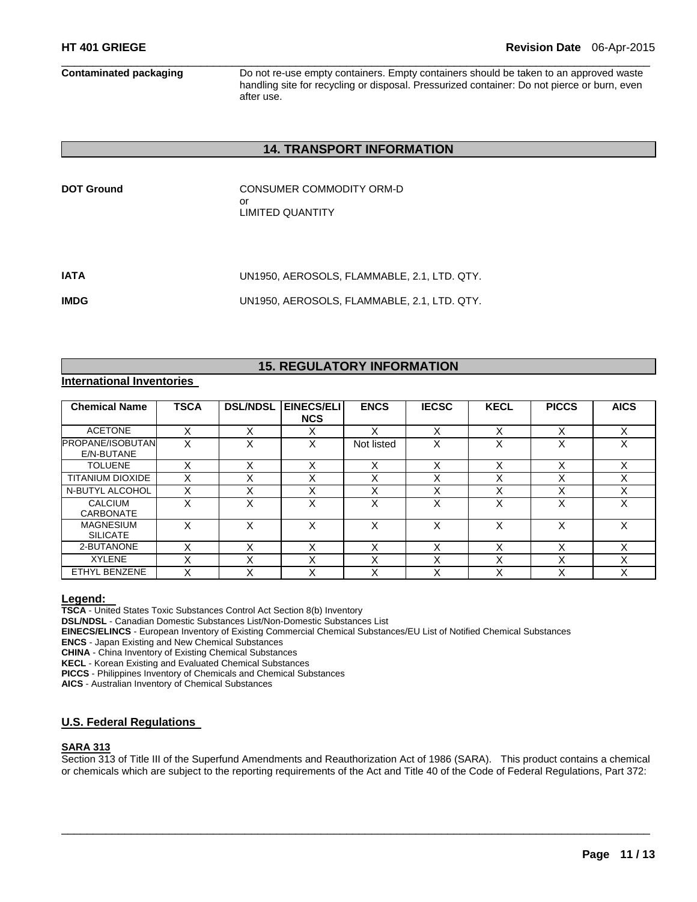**Contaminated packaging** Do not re-use empty containers. Empty containers should be taken to an approved waste handling site for recycling or disposal. Pressurized container: Do not pierce or burn, even after use.

### **14. TRANSPORT INFORMATION**

| <b>DOT Ground</b> | CONSUMER COMMODITY ORM-D |
|-------------------|--------------------------|
|                   | nr                       |
|                   | LIMITED QUANTITY         |

| IATA | UN1950. AEROSOLS. FLAMMABLE. 2.1. LTD. QTY. |
|------|---------------------------------------------|
| IMDG | UN1950. AEROSOLS. FLAMMABLE. 2.1. LTD. QTY. |

# **15. REGULATORY INFORMATION**

#### **International Inventories**

| <b>Chemical Name</b>                  | <b>TSCA</b> | <b>DSL/NDSL</b>   | EINECS/ELI<br><b>NCS</b> | <b>ENCS</b>       | <b>IECSC</b>      | <b>KECL</b>            | <b>PICCS</b>      | <b>AICS</b> |
|---------------------------------------|-------------|-------------------|--------------------------|-------------------|-------------------|------------------------|-------------------|-------------|
| <b>ACETONE</b>                        | x           | v<br>⋏            | $\checkmark$<br>∧        | x                 | X                 | $\checkmark$           | x                 | Χ           |
| <b>PROPANE/ISOBUTAN</b><br>E/N-BUTANE | x           | X                 | X                        | Not listed        | $\checkmark$      | v<br>́                 | $\check{ }$       | Χ           |
| <b>TOLUENE</b>                        | X           | X                 | $\checkmark$<br>⋏        | X                 | $\checkmark$<br>ᄉ | $\checkmark$<br>⌒      | $\checkmark$      | X           |
| <b>TITANIUM DIOXIDE</b>               | x           | ◡<br>⋏            | $\checkmark$<br>⋏        | $\checkmark$<br>ᄉ | ⋏                 | $\checkmark$<br>⌒      | ν                 | X           |
| N-BUTYL ALCOHOL                       |             | $\checkmark$<br>⋏ | $\checkmark$<br>∧        | x                 | ⋏                 | $\checkmark$<br>$\sim$ | $\check{ }$       | v           |
| <b>CALCIUM</b><br><b>CARBONATE</b>    | x           | X                 | X                        | X                 | $\checkmark$<br>⋏ | $\checkmark$<br>∧      | X                 | x           |
| <b>MAGNESIUM</b><br><b>SILICATE</b>   | x           | x                 | X                        | x                 | x                 | v                      | x                 | x           |
| 2-BUTANONE                            |             | X                 | X                        | X                 | X                 | $\checkmark$<br>⌒      | Χ                 | Χ           |
| <b>XYLENE</b>                         |             | $\check{ }$<br>⋏  | $\checkmark$<br>⋏        | X                 | v                 | $\checkmark$<br>$\sim$ | $\checkmark$<br>⋏ | X           |
| ETHYL BENZENE                         |             | X                 | X                        | x                 | ⋏                 | v<br>∧                 | ν                 | Χ           |

**Legend: TSCA** - United States Toxic Substances Control Act Section 8(b) Inventory

**DSL/NDSL** - Canadian Domestic Substances List/Non-Domestic Substances List

**EINECS/ELINCS** - European Inventory of Existing Commercial Chemical Substances/EU List of Notified Chemical Substances

**ENCS** - Japan Existing and New Chemical Substances

**CHINA** - China Inventory of Existing Chemical Substances

**KECL** - Korean Existing and Evaluated Chemical Substances

**PICCS** - Philippines Inventory of Chemicals and Chemical Substances

**AICS** - Australian Inventory of Chemical Substances

### **U.S. Federal Regulations**

#### **SARA 313**

Section 313 of Title III of the Superfund Amendments and Reauthorization Act of 1986 (SARA). This product contains a chemical or chemicals which are subject to the reporting requirements of the Act and Title 40 of the Code of Federal Regulations, Part 372: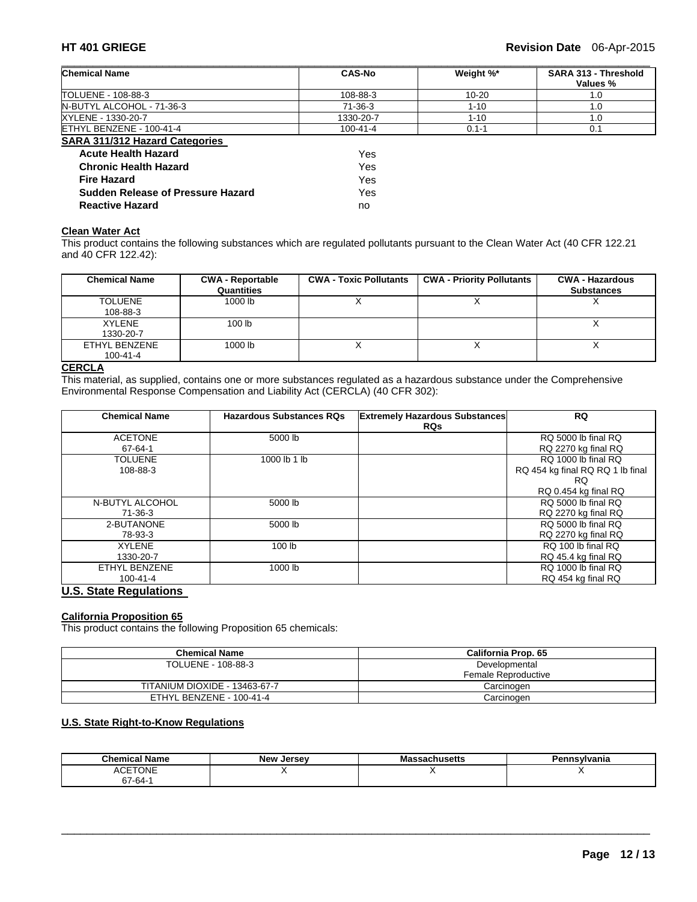| <b>Chemical Name</b>                  | <b>CAS-No</b> | Weight %* | SARA 313 - Threshold<br>Values % |
|---------------------------------------|---------------|-----------|----------------------------------|
| TOLUENE - 108-88-3                    | 108-88-3      | $10 - 20$ | 1.0                              |
| N-BUTYL ALCOHOL - 71-36-3             | $71-36-3$     | $1 - 10$  | 1.0                              |
| XYLENE - 1330-20-7                    | 1330-20-7     | $1 - 10$  | 1.0                              |
| ETHYL BENZENE - 100-41-4              | 100-41-4      | $0.1 - 1$ | 0.1                              |
| <b>SARA 311/312 Hazard Categories</b> |               |           |                                  |
| <b>Acute Health Hazard</b>            | Yes           |           |                                  |
| <b>Chronic Health Hazard</b>          | Yes           |           |                                  |
| <b>Fire Hazard</b>                    | Yes           |           |                                  |
| Sudden Release of Pressure Hazard     | Yes           |           |                                  |
| <b>Reactive Hazard</b>                | no            |           |                                  |

# **Clean Water Act**

This product contains the following substances which are regulated pollutants pursuant to the Clean Water Act (40 CFR 122.21 and 40 CFR 122.42):

| <b>Chemical Name</b>            | <b>CWA - Reportable</b><br>Quantities | <b>CWA - Toxic Pollutants</b> | <b>CWA - Priority Pollutants</b> | <b>CWA - Hazardous</b><br><b>Substances</b> |
|---------------------------------|---------------------------------------|-------------------------------|----------------------------------|---------------------------------------------|
| <b>TOLUENE</b><br>108-88-3      | 1000 lb                               |                               |                                  |                                             |
| <b>XYLENE</b><br>1330-20-7      | 100 <sub>1b</sub>                     |                               |                                  |                                             |
| ETHYL BENZENE<br>$100 - 41 - 4$ | 1000 lb                               |                               |                                  |                                             |

# **CERCLA**

This material, as supplied, contains one or more substances regulated as a hazardous substance under the Comprehensive Environmental Response Compensation and Liability Act (CERCLA) (40 CFR 302):

| <b>Chemical Name</b> | <b>Hazardous Substances RQs</b> | <b>Extremely Hazardous Substances</b> | <b>RQ</b>                        |
|----------------------|---------------------------------|---------------------------------------|----------------------------------|
|                      |                                 | <b>RQs</b>                            |                                  |
| <b>ACETONE</b>       | 5000 lb                         |                                       | RQ 5000 lb final RQ              |
| 67-64-1              |                                 |                                       | RQ 2270 kg final RQ              |
| <b>TOLUENE</b>       | 1000 lb 1 lb                    |                                       | RQ 1000 lb final RQ              |
| 108-88-3             |                                 |                                       | RQ 454 kg final RQ RQ 1 lb final |
|                      |                                 |                                       | RQ.                              |
|                      |                                 |                                       | RQ 0.454 kg final RQ             |
| N-BUTYL ALCOHOL      | 5000 lb                         |                                       | RQ 5000 lb final RQ              |
| 71-36-3              |                                 |                                       | RQ 2270 kg final RQ              |
| 2-BUTANONE           | 5000 lb                         |                                       | RQ 5000 lb final RQ              |
| 78-93-3              |                                 |                                       | RQ 2270 kg final RQ              |
| <b>XYLENE</b>        | 100 <sub>lb</sub>               |                                       | RQ 100 lb final RQ               |
| 1330-20-7            |                                 |                                       | RQ 45.4 kg final RQ              |
| ETHYL BENZENE        | 1000 lb                         |                                       | RQ 1000 lb final RQ              |
| $100 - 41 - 4$       |                                 |                                       | RQ 454 kg final RQ               |

# **U.S. State Regulations**

#### **California Proposition 65**

This product contains the following Proposition 65 chemicals:

| <b>Chemical Name</b>          | California Prop. 65 |
|-------------------------------|---------------------|
| TOLUENE - 108-88-3            | Developmental       |
|                               | Female Reproductive |
| TITANIUM DIOXIDE - 13463-67-7 | Carcinoɑen          |
| ETHYL BENZENE - 100-41-4      | Carcinogen          |

#### **U.S. State Right-to-Know Regulations**

| - - -<br>Chemical<br>Name           | <b>New Jersey</b> | รsachusetts<br>IVIC | Pennsvlvania |
|-------------------------------------|-------------------|---------------------|--------------|
| <b><i>CETONE</i></b><br>41 O<br>∼∼∟ |                   |                     |              |
| 67-64-                              |                   |                     |              |